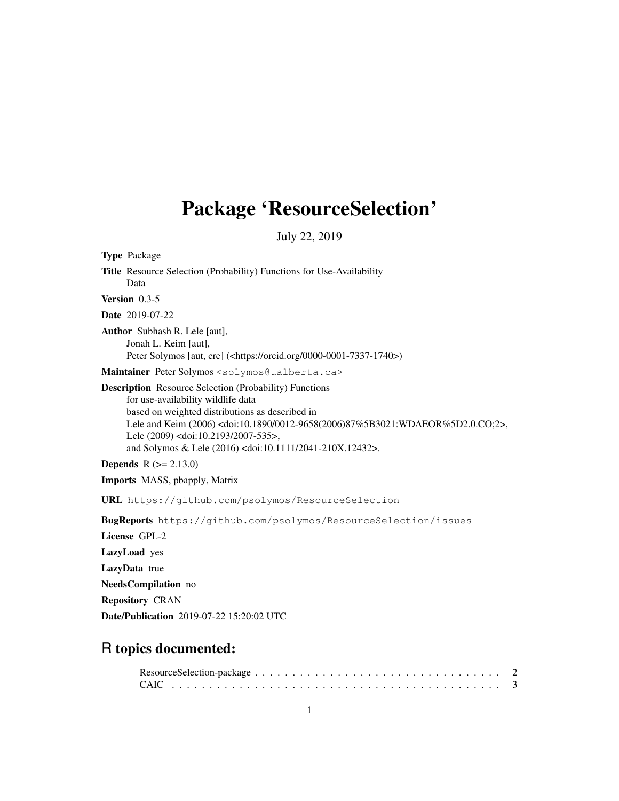# Package 'ResourceSelection'

July 22, 2019

Type Package Title Resource Selection (Probability) Functions for Use-Availability Data Version 0.3-5 Date 2019-07-22 Author Subhash R. Lele [aut], Jonah L. Keim [aut], Peter Solymos [aut, cre] (<https://orcid.org/0000-0001-7337-1740>) Maintainer Peter Solymos <solymos@ualberta.ca> Description Resource Selection (Probability) Functions for use-availability wildlife data based on weighted distributions as described in Lele and Keim (2006) <doi:10.1890/0012-9658(2006)87%5B3021:WDAEOR%5D2.0.CO;2>, Lele (2009) <doi:10.2193/2007-535>, and Solymos & Lele (2016) <doi:10.1111/2041-210X.12432>. **Depends**  $R (= 2.13.0)$ Imports MASS, pbapply, Matrix URL https://github.com/psolymos/ResourceSelection BugReports https://github.com/psolymos/ResourceSelection/issues License GPL-2 LazyLoad yes LazyData true NeedsCompilation no

Repository CRAN

Date/Publication 2019-07-22 15:20:02 UTC

## R topics documented: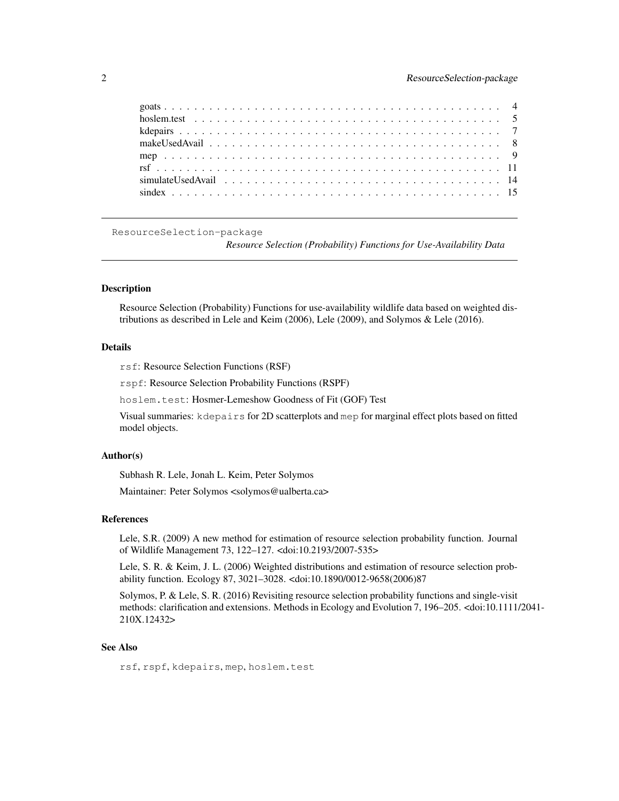ResourceSelection-package

*Resource Selection (Probability) Functions for Use-Availability Data*

## Description

Resource Selection (Probability) Functions for use-availability wildlife data based on weighted distributions as described in Lele and Keim (2006), Lele (2009), and Solymos & Lele (2016).

#### Details

rsf: Resource Selection Functions (RSF)

rspf: Resource Selection Probability Functions (RSPF)

hoslem.test: Hosmer-Lemeshow Goodness of Fit (GOF) Test

Visual summaries: kdepairs for 2D scatterplots and mep for marginal effect plots based on fitted model objects.

#### Author(s)

Subhash R. Lele, Jonah L. Keim, Peter Solymos

Maintainer: Peter Solymos <solymos@ualberta.ca>

#### References

Lele, S.R. (2009) A new method for estimation of resource selection probability function. Journal of Wildlife Management 73, 122–127. <doi:10.2193/2007-535>

Lele, S. R. & Keim, J. L. (2006) Weighted distributions and estimation of resource selection probability function. Ecology 87, 3021–3028. <doi:10.1890/0012-9658(2006)87

Solymos, P. & Lele, S. R. (2016) Revisiting resource selection probability functions and single-visit methods: clarification and extensions. Methods in Ecology and Evolution 7, 196–205. <doi:10.1111/2041- 210X.12432>

## See Also

rsf, rspf, kdepairs, mep, hoslem.test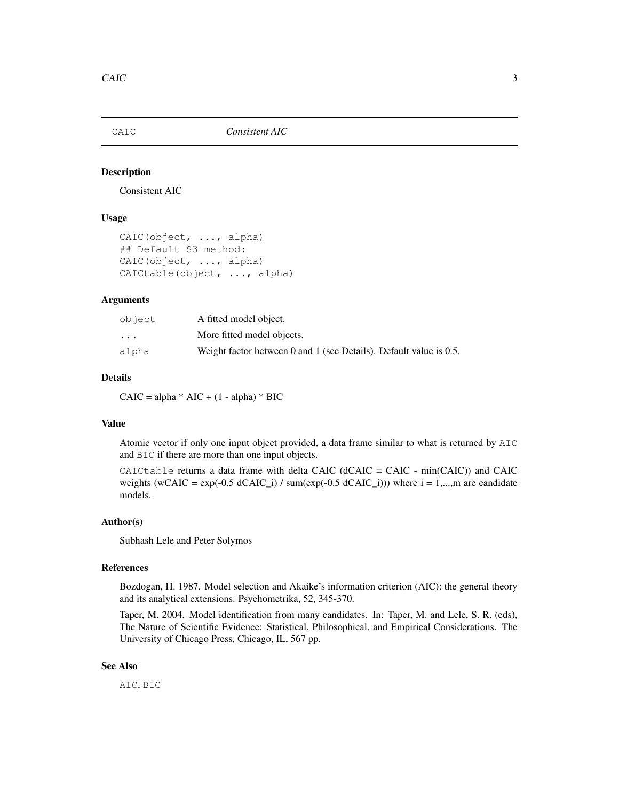Consistent AIC

#### Usage

```
CAIC(object, ..., alpha)
## Default S3 method:
CAIC(object, ..., alpha)
CAICtable(object, ..., alpha)
```
#### Arguments

| object                  | A fitted model object.                                                |
|-------------------------|-----------------------------------------------------------------------|
| $\cdot$ $\cdot$ $\cdot$ | More fitted model objects.                                            |
| alpha                   | Weight factor between 0 and 1 (see Details). Default value is $0.5$ . |

#### Details

 $CAIC = alpha * AIC + (1 - alpha) * BIC$ 

#### Value

Atomic vector if only one input object provided, a data frame similar to what is returned by AIC and BIC if there are more than one input objects.

CAICtable returns a data frame with delta CAIC (dCAIC = CAIC - min(CAIC)) and CAIC weights (wCAIC =  $\exp(-0.5 \text{ dCAIC}_i)$  / sum $(\exp(-0.5 \text{ dCAIC}_i))$ ) where  $i = 1,...,m$  are candidate models.

#### Author(s)

Subhash Lele and Peter Solymos

#### References

Bozdogan, H. 1987. Model selection and Akaike's information criterion (AIC): the general theory and its analytical extensions. Psychometrika, 52, 345-370.

Taper, M. 2004. Model identification from many candidates. In: Taper, M. and Lele, S. R. (eds), The Nature of Scientific Evidence: Statistical, Philosophical, and Empirical Considerations. The University of Chicago Press, Chicago, IL, 567 pp.

## See Also

AIC, BIC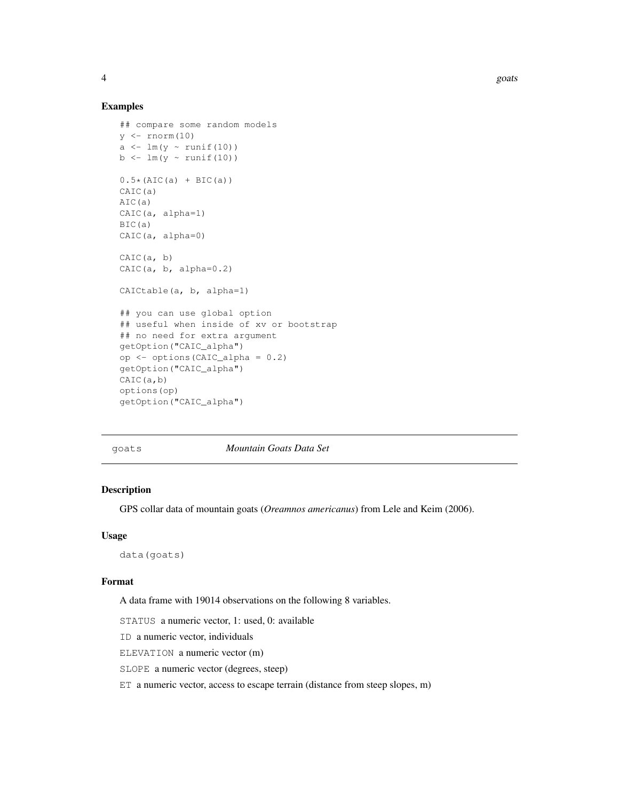4 goats and the set of the set of the set of the set of the set of the set of the set of the set of the set of the set of the set of the set of the set of the set of the set of the set of the set of the set of the set of t

#### Examples

```
## compare some random models
y \leftarrow \text{rnorm}(10)a \leftarrow \text{lm}(y \sim \text{runif}(10))b \leftarrow \text{lm}(y \sim \text{runif}(10))0.5*(AIC(a) + BIC(a))CAIC(a)
AIC(a)
CAIC(a, alpha=1)
BIC(a)
CAIC(a, alpha=0)
CAIC(a, b)CAIC(a, b, alpha=0.2)
CAICtable(a, b, alpha=1)
## you can use global option
## useful when inside of xv or bootstrap
## no need for extra argument
getOption("CAIC_alpha")
op <- options(CAIC_alpha = 0.2)
getOption("CAIC_alpha")
CAIC(a,b)
options(op)
getOption("CAIC_alpha")
```
goats *Mountain Goats Data Set*

#### Description

GPS collar data of mountain goats (*Oreamnos americanus*) from Lele and Keim (2006).

#### Usage

data(goats)

#### Format

A data frame with 19014 observations on the following 8 variables.

STATUS a numeric vector, 1: used, 0: available

ID a numeric vector, individuals

ELEVATION a numeric vector (m)

SLOPE a numeric vector (degrees, steep)

ET a numeric vector, access to escape terrain (distance from steep slopes, m)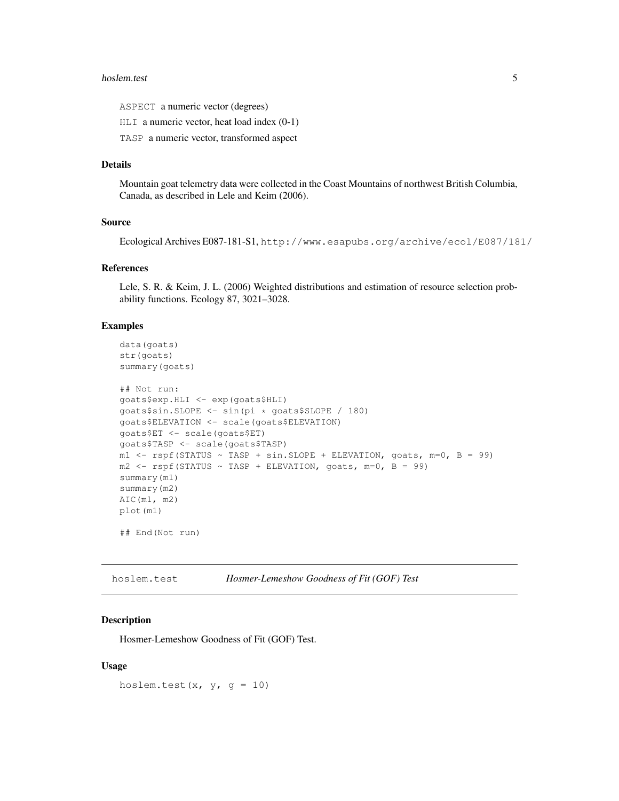#### hoslem.test 5

ASPECT a numeric vector (degrees)

HLI a numeric vector, heat load index (0-1)

TASP a numeric vector, transformed aspect

#### Details

Mountain goat telemetry data were collected in the Coast Mountains of northwest British Columbia, Canada, as described in Lele and Keim (2006).

## Source

Ecological Archives E087-181-S1, http://www.esapubs.org/archive/ecol/E087/181/

#### References

Lele, S. R. & Keim, J. L. (2006) Weighted distributions and estimation of resource selection probability functions. Ecology 87, 3021–3028.

#### Examples

```
data(goats)
str(goats)
summary(goats)
## Not run:
goats$exp.HLI <- exp(goats$HLI)
goats$sin.SLOPE <- sin(pi * goats$SLOPE / 180)
goats$ELEVATION <- scale(goats$ELEVATION)
goats$ET <- scale(goats$ET)
goats$TASP <- scale(goats$TASP)
m1 <- rspf(STATUS ~ TASP + sin.SLOPE + ELEVATION, goats, m=0, B = 99)
m2 \le - rspf(STATUS ~ TASP + ELEVATION, goats, m=0, B = 99)
summary(m1)
summary(m2)
AIC(m1, m2)
plot(m1)
## End(Not run)
```
hoslem.test *Hosmer-Lemeshow Goodness of Fit (GOF) Test*

#### Description

Hosmer-Lemeshow Goodness of Fit (GOF) Test.

#### Usage

hoslem.test(x,  $y$ ,  $g = 10$ )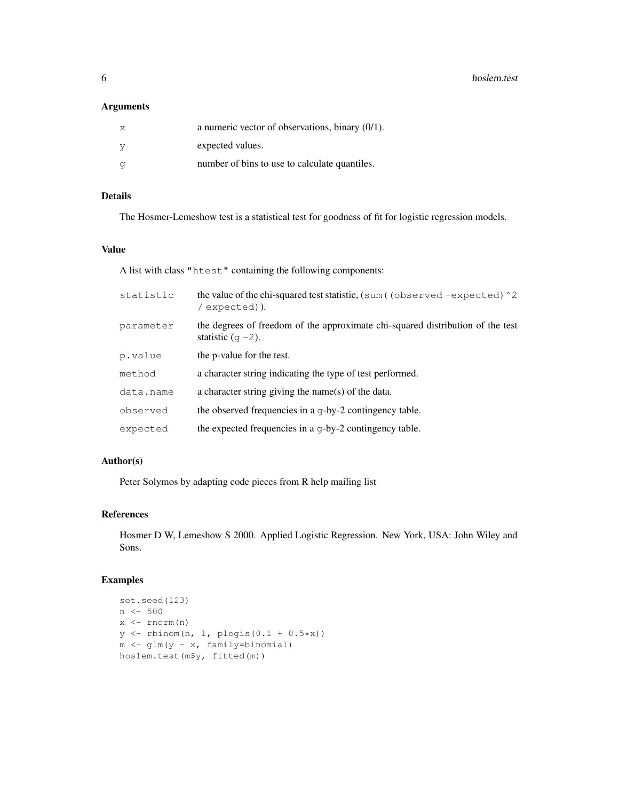**6** hoslem.test **hoster hoster hoster hoster hoster hoster hoster** 

## Arguments

| X. | a numeric vector of observations, binary $(0/1)$ . |
|----|----------------------------------------------------|
|    | expected values.                                   |
|    | number of bins to use to calculate quantiles.      |

## Details

The Hosmer-Lemeshow test is a statistical test for goodness of fit for logistic regression models.

#### Value

A list with class "htest" containing the following components:

| statistic | the value of the chi-squared test statistic, $(\text{sum}$ (observed -expected) $\textdegree$ 2<br>/expected)). |
|-----------|-----------------------------------------------------------------------------------------------------------------|
| parameter | the degrees of freedom of the approximate chi-squared distribution of the test<br>statistic $(q - 2)$ .         |
| p.value   | the p-value for the test.                                                                                       |
| method    | a character string indicating the type of test performed.                                                       |
| data.name | a character string giving the name(s) of the data.                                                              |
| observed  | the observed frequencies in a g-by-2 contingency table.                                                         |
| expected  | the expected frequencies in a q-by-2 contingency table.                                                         |

## Author(s)

Peter Solymos by adapting code pieces from R help mailing list

## References

Hosmer D W, Lemeshow S 2000. Applied Logistic Regression. New York, USA: John Wiley and Sons.

```
set.seed(123)
n <- 500
x \leftarrow \text{rnorm}(n)y \leftarrow rbinom(n, 1, plogis(0.1 + 0.5*x))
m \leftarrow glm(y ~ x, family=binomial)
hoslem.test(m$y, fitted(m))
```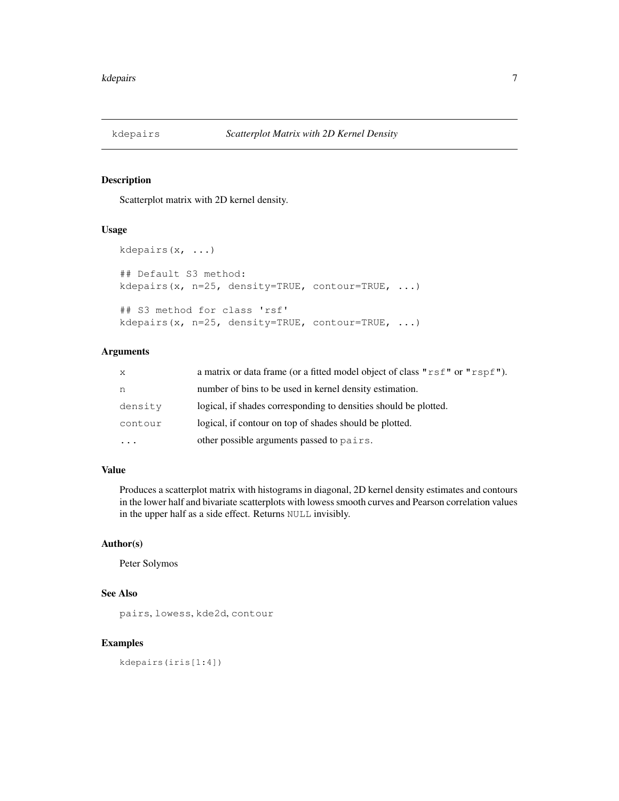Scatterplot matrix with 2D kernel density.

#### Usage

```
kdepairs(x, ...)
## Default S3 method:
kdepairs(x, n=25, density=TRUE, contour=TRUE, ...)
## S3 method for class 'rsf'
kdepairs(x, n=25, density=TRUE, contour=TRUE, ...)
```
## Arguments

| $\mathbf{x}$ | a matrix or data frame (or a fitted model object of class " $rsf$ " or " $rsf$ "). |
|--------------|------------------------------------------------------------------------------------|
| n            | number of bins to be used in kernel density estimation.                            |
| density      | logical, if shades corresponding to densities should be plotted.                   |
| contour      | logical, if contour on top of shades should be plotted.                            |
|              | other possible arguments passed to pairs.                                          |

### Value

Produces a scatterplot matrix with histograms in diagonal, 2D kernel density estimates and contours in the lower half and bivariate scatterplots with lowess smooth curves and Pearson correlation values in the upper half as a side effect. Returns NULL invisibly.

#### Author(s)

Peter Solymos

#### See Also

pairs, lowess, kde2d, contour

#### Examples

kdepairs(iris[1:4])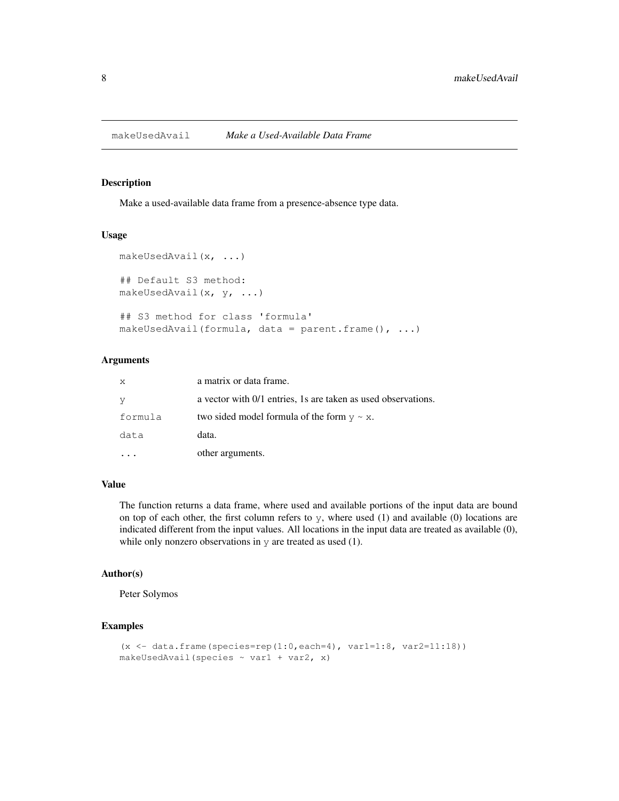Make a used-available data frame from a presence-absence type data.

#### Usage

```
makeUsedAvail(x, ...)
## Default S3 method:
makeUsedAvail(x, y, ...)
## S3 method for class 'formula'
makeUsedAvail(formula, data = parent.frame(), ...)
```
#### Arguments

| $\boldsymbol{\mathsf{x}}$ | a matrix or data frame.                                       |
|---------------------------|---------------------------------------------------------------|
| y                         | a vector with 0/1 entries, 1s are taken as used observations. |
| formula                   | two sided model formula of the form $y \sim x$ .              |
| data                      | data.                                                         |
|                           | other arguments.                                              |

#### Value

The function returns a data frame, where used and available portions of the input data are bound on top of each other, the first column refers to  $y$ , where used  $(1)$  and available  $(0)$  locations are indicated different from the input values. All locations in the input data are treated as available (0), while only nonzero observations in  $y$  are treated as used (1).

## Author(s)

Peter Solymos

```
(x \le - data.frame(species=rep(1:0,each=4), var1=1:8, var2=11:18))
makeUsedAvail(species ~ var1 + var2, x)
```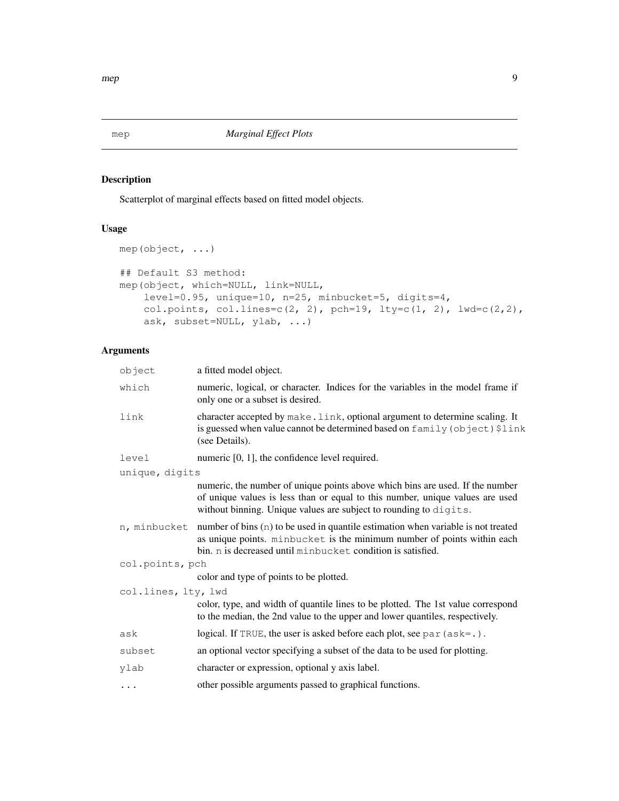Scatterplot of marginal effects based on fitted model objects.

## Usage

```
mep(object, ...)
## Default S3 method:
mep(object, which=NULL, link=NULL,
    level=0.95, unique=10, n=25, minbucket=5, digits=4,
   col.points, col.lines=c(2, 2), pch=19, lty=c(1, 2), lwd=c(2,2),
    ask, subset=NULL, ylab, ...)
```
## Arguments

| a fitted model object.                                                                                                                                                                                                              |
|-------------------------------------------------------------------------------------------------------------------------------------------------------------------------------------------------------------------------------------|
| numeric, logical, or character. Indices for the variables in the model frame if<br>only one or a subset is desired.                                                                                                                 |
| character accepted by make. Link, optional argument to determine scaling. It<br>is guessed when value cannot be determined based on family (object) \$link<br>(see Details).                                                        |
| numeric $[0, 1]$ , the confidence level required.                                                                                                                                                                                   |
| unique, digits                                                                                                                                                                                                                      |
| numeric, the number of unique points above which bins are used. If the number<br>of unique values is less than or equal to this number, unique values are used<br>without binning. Unique values are subject to rounding to digits. |
| number of bins $(n)$ to be used in quantile estimation when variable is not treated<br>as unique points. minbucket is the minimum number of points within each<br>bin. n is decreased until minbucket condition is satisfied.       |
| col.points, pch                                                                                                                                                                                                                     |
| color and type of points to be plotted.                                                                                                                                                                                             |
| col.lines, lty, lwd                                                                                                                                                                                                                 |
| color, type, and width of quantile lines to be plotted. The 1st value correspond<br>to the median, the 2nd value to the upper and lower quantiles, respectively.                                                                    |
| logical. If TRUE, the user is asked before each plot, see $par (ask=.)$ .                                                                                                                                                           |
| an optional vector specifying a subset of the data to be used for plotting.                                                                                                                                                         |
| character or expression, optional y axis label.                                                                                                                                                                                     |
| other possible arguments passed to graphical functions.                                                                                                                                                                             |
|                                                                                                                                                                                                                                     |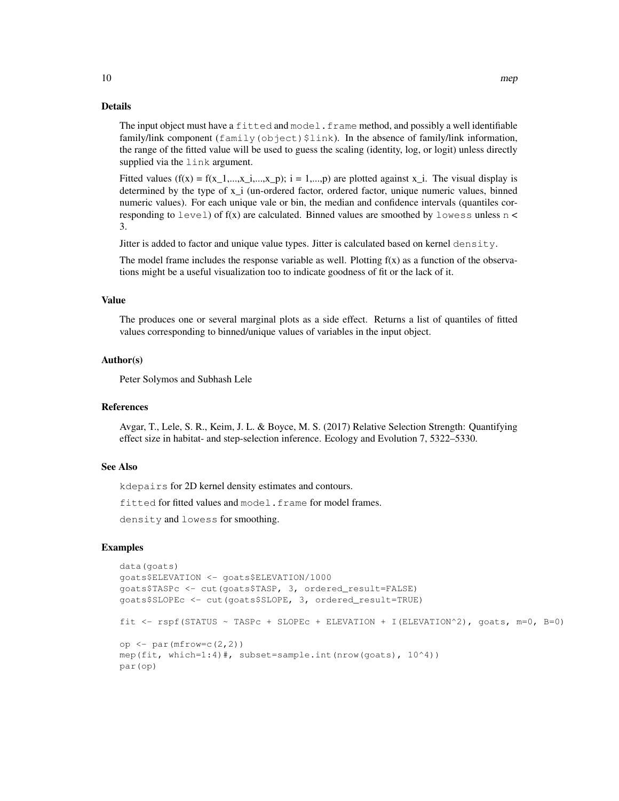#### Details

The input object must have a fitted and model. frame method, and possibly a well identifiable family/link component ( $f$ amily( $obj$ ect) $$link$ ). In the absence of family/link information, the range of the fitted value will be used to guess the scaling (identity, log, or logit) unless directly supplied via the link argument.

Fitted values ( $f(x) = f(x_1,...,x_i,...,x_p)$ ; i = 1,...,p) are plotted against x<sub>i</sub>. The visual display is determined by the type of x\_i (un-ordered factor, ordered factor, unique numeric values, binned numeric values). For each unique vale or bin, the median and confidence intervals (quantiles corresponding to  $level$ ) of  $f(x)$  are calculated. Binned values are smoothed by  $lowest$  sumless n < 3.

Jitter is added to factor and unique value types. Jitter is calculated based on kernel density.

The model frame includes the response variable as well. Plotting  $f(x)$  as a function of the observations might be a useful visualization too to indicate goodness of fit or the lack of it.

#### Value

The produces one or several marginal plots as a side effect. Returns a list of quantiles of fitted values corresponding to binned/unique values of variables in the input object.

#### Author(s)

Peter Solymos and Subhash Lele

## References

Avgar, T., Lele, S. R., Keim, J. L. & Boyce, M. S. (2017) Relative Selection Strength: Quantifying effect size in habitat- and step-selection inference. Ecology and Evolution 7, 5322–5330.

#### See Also

kdepairs for 2D kernel density estimates and contours.

fitted for fitted values and model.frame for model frames.

density and lowess for smoothing.

```
data(goats)
goats$ELEVATION <- goats$ELEVATION/1000
goats$TASPc <- cut(goats$TASP, 3, ordered_result=FALSE)
goats$SLOPEc <- cut(goats$SLOPE, 3, ordered_result=TRUE)
fit \le rspf(STATUS \sim TASPc + SLOPEc + ELEVATION + I(ELEVATION^2), goats, m=0, B=0)
op \leq par (mfrow=c(2,2))
mep(fit, which=1:4)#, subset=sample.int(nrow(goats), 10^4))
par(op)
```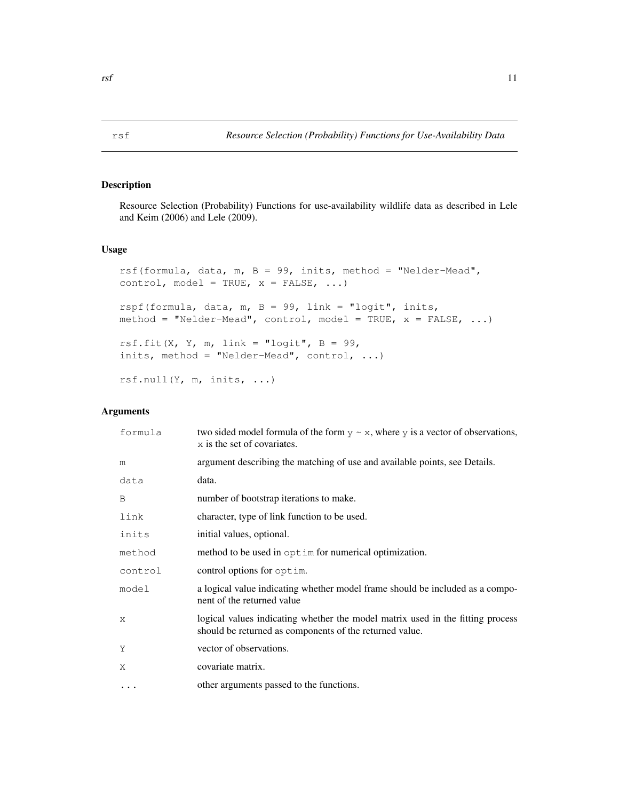Resource Selection (Probability) Functions for use-availability wildlife data as described in Lele and Keim (2006) and Lele (2009).

#### Usage

```
rsf(formula, data, m, B = 99, inits, method = "Nelder-Mead",
control, model = TRUE, x = FALSE, ...)
rspf(formula, data, m, B = 99, link = "logit", inits,
method = "Nelder-Mead", control, model = TRUE, x = FALSE, ...)
rsf.fit(X, Y, m, link = "logit", B = 99,
inits, method = "Nelder-Mead", control, ...)
rsf.null(Y, m, inits, ...)
```
## Arguments

| formula      | two sided model formula of the form $y \sim x$ , where y is a vector of observations,<br>x is the set of covariates.                      |
|--------------|-------------------------------------------------------------------------------------------------------------------------------------------|
| m            | argument describing the matching of use and available points, see Details.                                                                |
| data         | data.                                                                                                                                     |
| B            | number of bootstrap iterations to make.                                                                                                   |
| link         | character, type of link function to be used.                                                                                              |
| inits        | initial values, optional.                                                                                                                 |
| method       | method to be used in optim for numerical optimization.                                                                                    |
| control      | control options for optim.                                                                                                                |
| model        | a logical value indicating whether model frame should be included as a compo-<br>nent of the returned value                               |
| $\mathsf{x}$ | logical values indicating whether the model matrix used in the fitting process<br>should be returned as components of the returned value. |
| Y            | vector of observations.                                                                                                                   |
| Χ            | covariate matrix.                                                                                                                         |
| $\cdots$     | other arguments passed to the functions.                                                                                                  |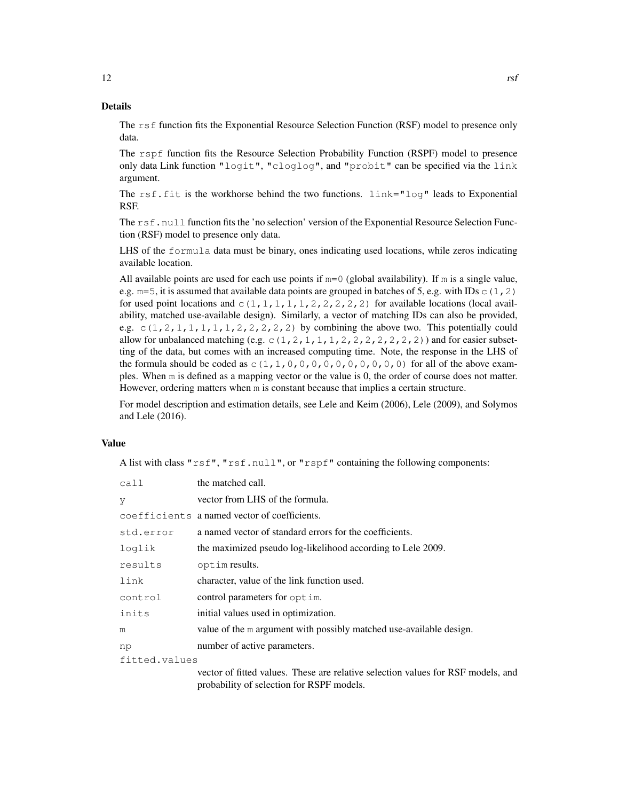#### Details

The rsf function fits the Exponential Resource Selection Function (RSF) model to presence only data.

The rspf function fits the Resource Selection Probability Function (RSPF) model to presence only data Link function "logit", "cloglog", and "probit" can be specified via the link argument.

The  $rsf.fit$  is the workhorse behind the two functions.  $link="log"$  leads to Exponential RSF.

The rsf.null function fits the 'no selection' version of the Exponential Resource Selection Function (RSF) model to presence only data.

LHS of the formula data must be binary, ones indicating used locations, while zeros indicating available location.

All available points are used for each use points if  $m=0$  (global availability). If m is a single value, e.g.  $m=5$ , it is assumed that available data points are grouped in batches of 5, e.g. with IDs  $\in (1, 2)$ for used point locations and  $c(1,1,1,1,1,1,2,2,2,2,2)$  for available locations (local availability, matched use-available design). Similarly, a vector of matching IDs can also be provided, e.g.  $c(1, 2, 1, 1, 1, 1, 1, 2, 2, 2, 2, 2)$  by combining the above two. This potentially could allow for unbalanced matching (e.g.  $\subset$  (1, 2, 1, 1, 1, 2, 2, 2, 2, 2, 2, 2)) and for easier subsetting of the data, but comes with an increased computing time. Note, the response in the LHS of the formula should be coded as  $c(1,1,0,0,0,0,0,0,0,0,0,0,0)$  for all of the above examples. When m is defined as a mapping vector or the value is 0, the order of course does not matter. However, ordering matters when m is constant because that implies a certain structure.

For model description and estimation details, see Lele and Keim (2006), Lele (2009), and Solymos and Lele (2016).

#### Value

A list with class " $rsf$ ", " $rsf$ .null", or " $rspf$ " containing the following components:

| call          | the matched call.                                                           |
|---------------|-----------------------------------------------------------------------------|
| V             | vector from LHS of the formula.                                             |
|               | coefficients a named vector of coefficients.                                |
| std.error     | a named vector of standard errors for the coefficients.                     |
| loglik        | the maximized pseudo log-likelihood according to Lele 2009.                 |
| results       | opt im results.                                                             |
| link          | character, value of the link function used.                                 |
| control       | control parameters for optim.                                               |
| inits         | initial values used in optimization.                                        |
| m             | value of the m argument with possibly matched use-available design.         |
| np            | number of active parameters.                                                |
| fitted.values |                                                                             |
|               | vector of fitted values. These are relative selection values for RSF models |

vector of fitted values. These are relative selection values for RSF models, and probability of selection for RSPF models.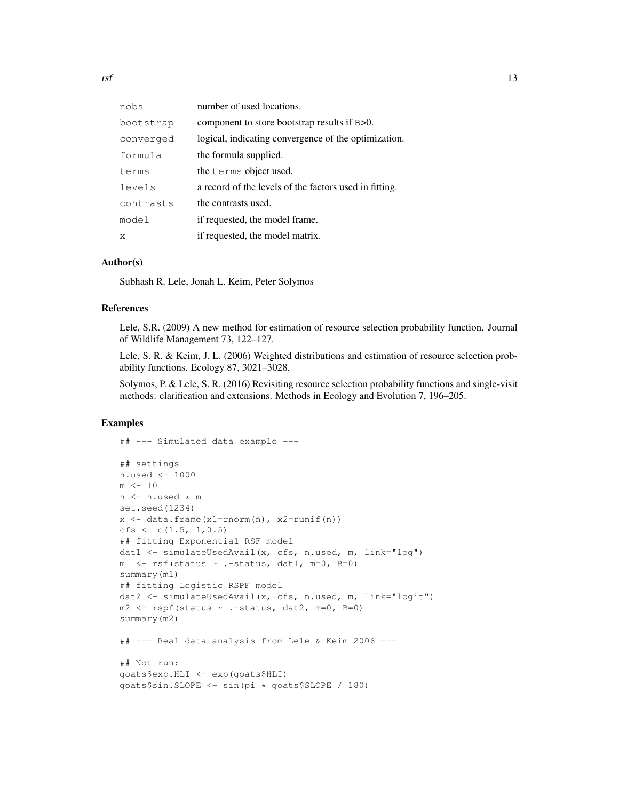| nobs      | number of used locations.                              |
|-----------|--------------------------------------------------------|
| bootstrap | component to store bootstrap results if B>0.           |
| converged | logical, indicating convergence of the optimization.   |
| formula   | the formula supplied.                                  |
| terms     | the terms object used.                                 |
| levels    | a record of the levels of the factors used in fitting. |
| contrasts | the contrasts used.                                    |
| model     | if requested, the model frame.                         |
| X         | if requested, the model matrix.                        |

#### Author(s)

Subhash R. Lele, Jonah L. Keim, Peter Solymos

### References

Lele, S.R. (2009) A new method for estimation of resource selection probability function. Journal of Wildlife Management 73, 122–127.

Lele, S. R. & Keim, J. L. (2006) Weighted distributions and estimation of resource selection probability functions. Ecology 87, 3021–3028.

Solymos, P. & Lele, S. R. (2016) Revisiting resource selection probability functions and single-visit methods: clarification and extensions. Methods in Ecology and Evolution 7, 196–205.

```
## --- Simulated data example ---
## settings
n.used <- 1000
m <- 10
n <- n.used * m
set.seed(1234)
x <- data.frame(x1=rnorm(n), x2=runif(n))
cfs \leftarrow c(1.5,-1,0.5)
## fitting Exponential RSF model
dat1 <- simulateUsedAvail(x, cfs, n.used, m, link="log")
ml \leftarrow \text{rsf}(\text{status } \sim \text{.-status}, \text{dat1, } m=0, B=0)summary(m1)
## fitting Logistic RSPF model
dat2 <- simulateUsedAvail(x, cfs, n.used, m, link="logit")
m2 \leq - rspf(status \sim .-status, dat2, m=0, B=0)
summary(m2)
## --- Real data analysis from Lele & Keim 2006 ---
## Not run:
goats$exp.HLI <- exp(goats$HLI)
goats$sin.SLOPE <- sin(pi * goats$SLOPE / 180)
```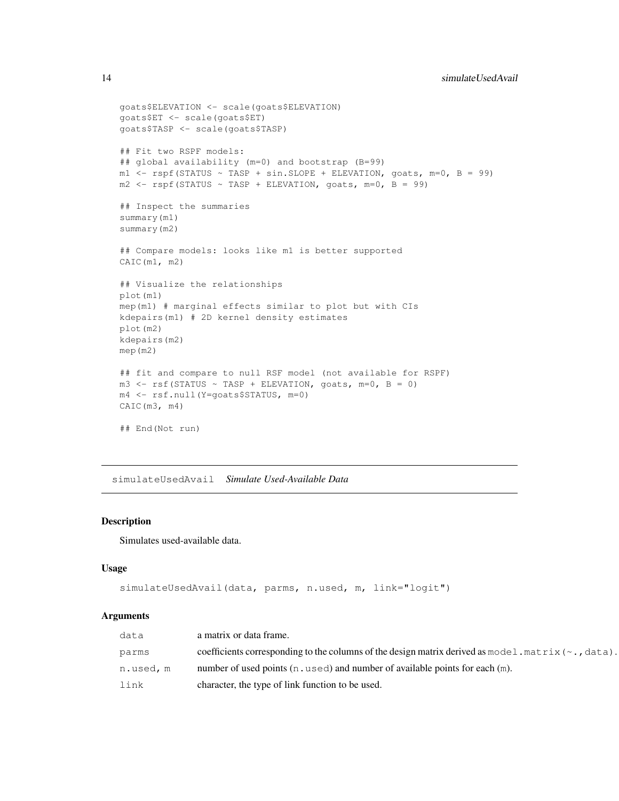```
goats$ELEVATION <- scale(goats$ELEVATION)
goats$ET <- scale(goats$ET)
goats$TASP <- scale(goats$TASP)
## Fit two RSPF models:
## global availability (m=0) and bootstrap (B=99)
ml \leftarrow \text{rspf}(\text{STATUS} \sim \text{TASP} + \text{sin.SLOPE} + \text{ELEVATION}, \text{goats}, \text{m=0}, \text{B} = 99)m2 \le - rspf(STATUS ~ TASP + ELEVATION, goats, m=0, B = 99)
## Inspect the summaries
summary(m1)
summary(m2)
## Compare models: looks like m1 is better supported
CAIC(m1, m2)
## Visualize the relationships
plot(m1)
mep(m1) # marginal effects similar to plot but with CIs
kdepairs(m1) # 2D kernel density estimates
plot(m2)
kdepairs(m2)
mep(m2)
## fit and compare to null RSF model (not available for RSPF)
m3 \leftarrow \text{rsf}(\text{STATUS} \sim \text{TASP} + \text{ELEVATION}, \text{goats}, m=0, B = 0)m4 <- rsf.null(Y=goats$STATUS, m=0)
CAIC(m3, m4)
## End(Not run)
```
simulateUsedAvail *Simulate Used-Available Data*

#### Description

Simulates used-available data.

#### Usage

```
simulateUsedAvail(data, parms, n.used, m, link="logit")
```
#### Arguments

| data      | a matrix or data frame.                                                                                              |
|-----------|----------------------------------------------------------------------------------------------------------------------|
| parms     | coefficients corresponding to the columns of the design matrix derived as model $.\text{matrix}(\sim, \text{data}).$ |
| n.used, m | number of used points $(n, used)$ and number of available points for each $(m)$ .                                    |
| link      | character, the type of link function to be used.                                                                     |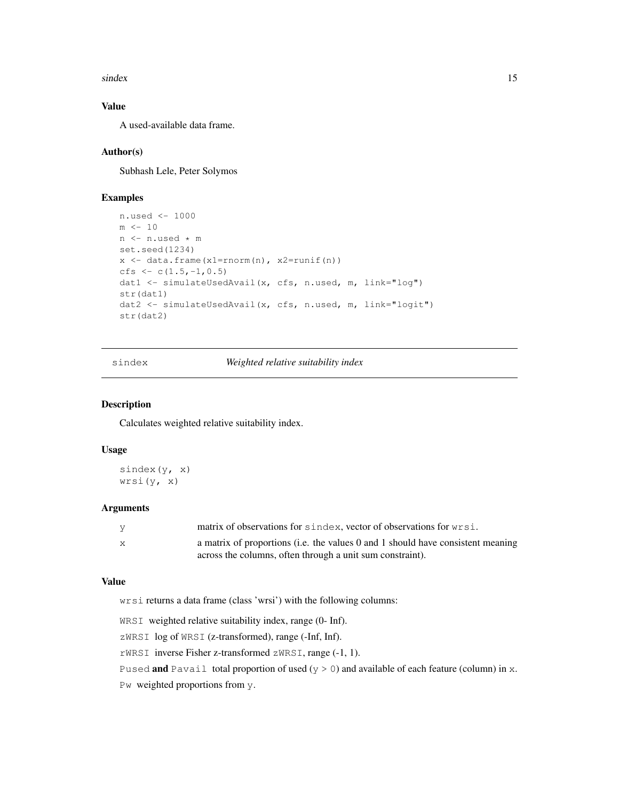$sindex$  15

## Value

A used-available data frame.

## Author(s)

Subhash Lele, Peter Solymos

## Examples

```
n.used <- 1000
m < - 10n <- n.used * m
set.seed(1234)
x <- data.frame(x1=rnorm(n), x2=runif(n))
cfs \leftarrow c(1.5,-1,0.5)
dat1 <- simulateUsedAvail(x, cfs, n.used, m, link="log")
str(dat1)
dat2 <- simulateUsedAvail(x, cfs, n.used, m, link="logit")
str(dat2)
```
sindex *Weighted relative suitability index*

#### Description

Calculates weighted relative suitability index.

#### Usage

```
sindex(y, x)wrsi(y, x)
```
## Arguments

| y | matrix of observations for sindex, vector of observations for wrsi.             |
|---|---------------------------------------------------------------------------------|
| X | a matrix of proportions (i.e. the values 0 and 1 should have consistent meaning |
|   | across the columns, often through a unit sum constraint).                       |

#### Value

wrsi returns a data frame (class 'wrsi') with the following columns:

WRSI weighted relative suitability index, range (0- Inf).

zWRSI log of WRSI (z-transformed), range (-Inf, Inf).

rWRSI inverse Fisher z-transformed zWRSI, range (-1, 1).

Pused **and** Pavail total proportion of used ( $y > 0$ ) and available of each feature (column) in x.

Pw weighted proportions from y.